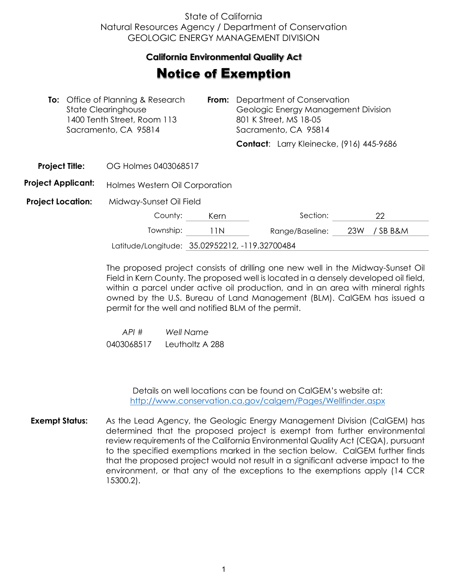## State of California Natural Resources Agency / Department of Conservation GEOLOGIC ENERGY MANAGEMENT DIVISION

## **California Environmental Quality Act**

## Notice of Exemption

|                           | <b>To:</b> Office of Planning & Research<br>From:<br><b>State Clearinghouse</b><br>1400 Tenth Street, Room 113<br>Sacramento, CA 95814 |                                |      | Department of Conservation<br>Geologic Energy Management Division<br>801 K Street, MS 18-05<br>Sacramento, CA 95814 |                                          |     |        |
|---------------------------|----------------------------------------------------------------------------------------------------------------------------------------|--------------------------------|------|---------------------------------------------------------------------------------------------------------------------|------------------------------------------|-----|--------|
|                           |                                                                                                                                        |                                |      |                                                                                                                     | Contact: Larry Kleinecke, (916) 445-9686 |     |        |
| <b>Project Title:</b>     |                                                                                                                                        | OG Holmes 0403068517           |      |                                                                                                                     |                                          |     |        |
| <b>Project Applicant:</b> |                                                                                                                                        | Holmes Western Oil Corporation |      |                                                                                                                     |                                          |     |        |
| <b>Project Location:</b>  |                                                                                                                                        | Midway-Sunset Oil Field        |      |                                                                                                                     |                                          |     |        |
|                           |                                                                                                                                        | County:                        | Kern |                                                                                                                     | Section:                                 |     | 22     |
|                           |                                                                                                                                        | Township:                      | 11 N |                                                                                                                     | Range/Baseline:                          | 23W | /SBB&M |
|                           |                                                                                                                                        |                                |      |                                                                                                                     |                                          |     |        |

Latitude/Longitude: 35.02952212, -119.32700484

The proposed project consists of drilling one new well in the Midway-Sunset Oil Field in Kern County. The proposed well is located in a densely developed oil field, within a parcel under active oil production, and in an area with mineral rights owned by the U.S. Bureau of Land Management (BLM). CalGEM has issued a permit for the well and notified BLM of the permit.

 *API # Well Name*  0403068517 Leutholtz A 288

> Details on well locations can be found on CalGEM's website at: <http://www.conservation.ca.gov/calgem/Pages/Wellfinder.aspx>

**Exempt Status:** As the Lead Agency, the Geologic Energy Management Division (CalGEM) has determined that the proposed project is exempt from further environmental review requirements of the California Environmental Quality Act (CEQA), pursuant to the specified exemptions marked in the section below. CalGEM further finds that the proposed project would not result in a significant adverse impact to the environment, or that any of the exceptions to the exemptions apply (14 CCR 15300.2).